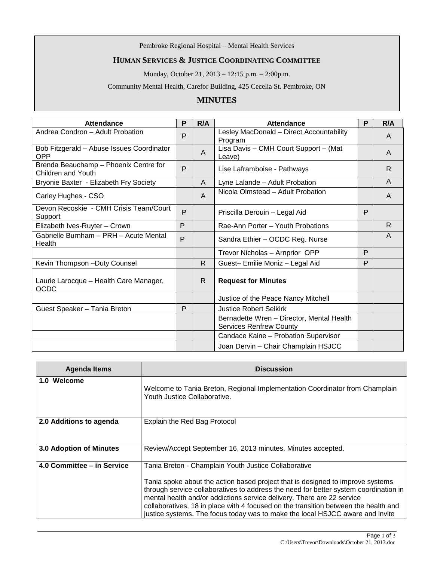Pembroke Regional Hospital – Mental Health Services

## **HUMAN SERVICES & JUSTICE COORDINATING COMMITTEE**

Monday, October 21, 2013 – 12:15 p.m. – 2:00p.m.

Community Mental Health, Carefor Building, 425 Cecelia St. Pembroke, ON

## **MINUTES**

| Attendance                                                  | P | R/A          | Attendance                                                                  | P | R/A            |
|-------------------------------------------------------------|---|--------------|-----------------------------------------------------------------------------|---|----------------|
| Andrea Condron - Adult Probation                            | P |              | Lesley MacDonald - Direct Accountability<br>Program                         |   | $\mathsf{A}$   |
| Bob Fitzgerald - Abuse Issues Coordinator<br><b>OPP</b>     |   | A            | Lisa Davis - CMH Court Support - (Mat<br>Leave)                             |   | A              |
| Brenda Beauchamp - Phoenix Centre for<br>Children and Youth | P |              | Lise Laframboise - Pathways                                                 |   | R              |
| Bryonie Baxter - Elizabeth Fry Society                      |   | A            | Lyne Lalande - Adult Probation                                              |   | $\overline{A}$ |
| Carley Hughes - CSO                                         |   | A            | Nicola Olmstead - Adult Probation                                           |   | A              |
| Devon Recoskie - CMH Crisis Team/Court<br>Support           | P |              | Priscilla Derouin - Legal Aid                                               | P |                |
| Elizabeth Ives-Ruyter - Crown                               | P |              | Rae-Ann Porter - Youth Probations                                           |   | R.             |
| Gabrielle Burnham - PRH - Acute Mental<br>Health            | P |              | Sandra Ethier - OCDC Reg. Nurse                                             |   | A              |
|                                                             |   |              | Trevor Nicholas - Arnprior OPP                                              | P |                |
| Kevin Thompson - Duty Counsel                               |   | $\mathsf{R}$ | Guest- Emilie Moniz - Legal Aid                                             | P |                |
| Laurie Larocque - Health Care Manager,<br><b>OCDC</b>       |   | $\mathsf{R}$ | <b>Request for Minutes</b>                                                  |   |                |
|                                                             |   |              | Justice of the Peace Nancy Mitchell                                         |   |                |
| Guest Speaker - Tania Breton                                | P |              | <b>Justice Robert Selkirk</b>                                               |   |                |
|                                                             |   |              | Bernadette Wren - Director, Mental Health<br><b>Services Renfrew County</b> |   |                |
|                                                             |   |              | Candace Kaine - Probation Supervisor                                        |   |                |
|                                                             |   |              | Joan Dervin - Chair Champlain HSJCC                                         |   |                |

| <b>Agenda Items</b>            | <b>Discussion</b>                                                                                                                                                                                                                                                                                                                                                                                                                                                                |
|--------------------------------|----------------------------------------------------------------------------------------------------------------------------------------------------------------------------------------------------------------------------------------------------------------------------------------------------------------------------------------------------------------------------------------------------------------------------------------------------------------------------------|
| 1.0 Welcome                    | Welcome to Tania Breton, Regional Implementation Coordinator from Champlain<br>Youth Justice Collaborative.                                                                                                                                                                                                                                                                                                                                                                      |
| 2.0 Additions to agenda        | Explain the Red Bag Protocol                                                                                                                                                                                                                                                                                                                                                                                                                                                     |
| <b>3.0 Adoption of Minutes</b> | Review/Accept September 16, 2013 minutes. Minutes accepted.                                                                                                                                                                                                                                                                                                                                                                                                                      |
| 4.0 Committee – in Service     | Tania Breton - Champlain Youth Justice Collaborative<br>Tania spoke about the action based project that is designed to improve systems<br>through service collaboratives to address the need for better system coordination in<br>mental health and/or addictions service delivery. There are 22 service<br>collaboratives, 18 in place with 4 focused on the transition between the health and<br>justice systems. The focus today was to make the local HSJCC aware and invite |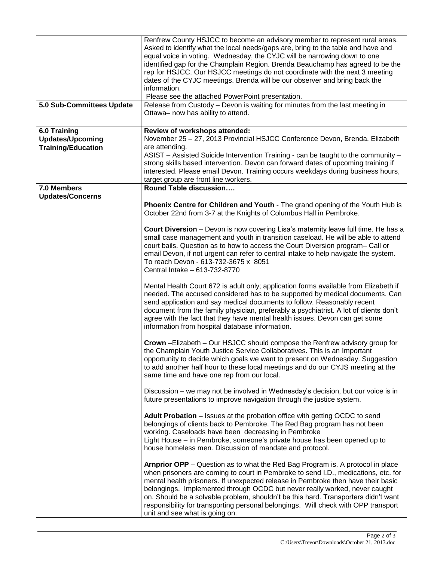| 5.0 Sub-Committees Update | Renfrew County HSJCC to become an advisory member to represent rural areas.<br>Asked to identify what the local needs/gaps are, bring to the table and have and<br>equal voice in voting. Wednesday, the CYJC will be narrowing down to one<br>identified gap for the Champlain Region. Brenda Beauchamp has agreed to be the<br>rep for HSJCC. Our HSJCC meetings do not coordinate with the next 3 meeting<br>dates of the CYJC meetings. Brenda will be our observer and bring back the<br>information.<br>Please see the attached PowerPoint presentation.<br>Release from Custody - Devon is waiting for minutes from the last meeting in<br>Ottawa- now has ability to attend. |
|---------------------------|--------------------------------------------------------------------------------------------------------------------------------------------------------------------------------------------------------------------------------------------------------------------------------------------------------------------------------------------------------------------------------------------------------------------------------------------------------------------------------------------------------------------------------------------------------------------------------------------------------------------------------------------------------------------------------------|
| 6.0 Training              | Review of workshops attended:                                                                                                                                                                                                                                                                                                                                                                                                                                                                                                                                                                                                                                                        |
| <b>Updates/Upcoming</b>   | November 25 - 27, 2013 Provincial HSJCC Conference Devon, Brenda, Elizabeth                                                                                                                                                                                                                                                                                                                                                                                                                                                                                                                                                                                                          |
| <b>Training/Education</b> | are attending.                                                                                                                                                                                                                                                                                                                                                                                                                                                                                                                                                                                                                                                                       |
|                           | ASIST - Assisted Suicide Intervention Training - can be taught to the community -                                                                                                                                                                                                                                                                                                                                                                                                                                                                                                                                                                                                    |
|                           | strong skills based intervention. Devon can forward dates of upcoming training if                                                                                                                                                                                                                                                                                                                                                                                                                                                                                                                                                                                                    |
|                           | interested. Please email Devon. Training occurs weekdays during business hours,                                                                                                                                                                                                                                                                                                                                                                                                                                                                                                                                                                                                      |
| 7.0 Members               | target group are front line workers.<br>Round Table discussion                                                                                                                                                                                                                                                                                                                                                                                                                                                                                                                                                                                                                       |
| <b>Updates/Concerns</b>   |                                                                                                                                                                                                                                                                                                                                                                                                                                                                                                                                                                                                                                                                                      |
|                           | Phoenix Centre for Children and Youth - The grand opening of the Youth Hub is                                                                                                                                                                                                                                                                                                                                                                                                                                                                                                                                                                                                        |
|                           | October 22nd from 3-7 at the Knights of Columbus Hall in Pembroke.                                                                                                                                                                                                                                                                                                                                                                                                                                                                                                                                                                                                                   |
|                           | Court Diversion - Devon is now covering Lisa's maternity leave full time. He has a                                                                                                                                                                                                                                                                                                                                                                                                                                                                                                                                                                                                   |
|                           | small case management and youth in transition caseload. He will be able to attend<br>court bails. Question as to how to access the Court Diversion program- Call or<br>email Devon, if not urgent can refer to central intake to help navigate the system.<br>To reach Devon - 613-732-3675 x 8051<br>Central Intake - 613-732-8770                                                                                                                                                                                                                                                                                                                                                  |
|                           | Mental Health Court 672 is adult only; application forms available from Elizabeth if<br>needed. The accused considered has to be supported by medical documents. Can<br>send application and say medical documents to follow. Reasonably recent<br>document from the family physician, preferably a psychiatrist. A lot of clients don't<br>agree with the fact that they have mental health issues. Devon can get some<br>information from hospital database information.                                                                                                                                                                                                           |
|                           | Crown - Elizabeth - Our HSJCC should compose the Renfrew advisory group for<br>the Champlain Youth Justice Service Collaboratives. This is an Important<br>opportunity to decide which goals we want to present on Wednesday. Suggestion<br>to add another half hour to these local meetings and do our CYJS meeting at the<br>same time and have one rep from our local.                                                                                                                                                                                                                                                                                                            |
|                           | Discussion - we may not be involved in Wednesday's decision, but our voice is in<br>future presentations to improve navigation through the justice system.                                                                                                                                                                                                                                                                                                                                                                                                                                                                                                                           |
|                           | Adult Probation - Issues at the probation office with getting OCDC to send<br>belongings of clients back to Pembroke. The Red Bag program has not been<br>working. Caseloads have been decreasing in Pembroke<br>Light House - in Pembroke, someone's private house has been opened up to<br>house homeless men. Discussion of mandate and protocol.                                                                                                                                                                                                                                                                                                                                 |
|                           | <b>Arnprior OPP</b> – Question as to what the Red Bag Program is. A protocol in place<br>when prisoners are coming to court in Pembroke to send I.D., medications, etc. for<br>mental health prisoners. If unexpected release in Pembroke then have their basic<br>belongings. Implemented through OCDC but never really worked, never caught<br>on. Should be a solvable problem, shouldn't be this hard. Transporters didn't want<br>responsibility for transporting personal belongings. Will check with OPP transport<br>unit and see what is going on.                                                                                                                          |